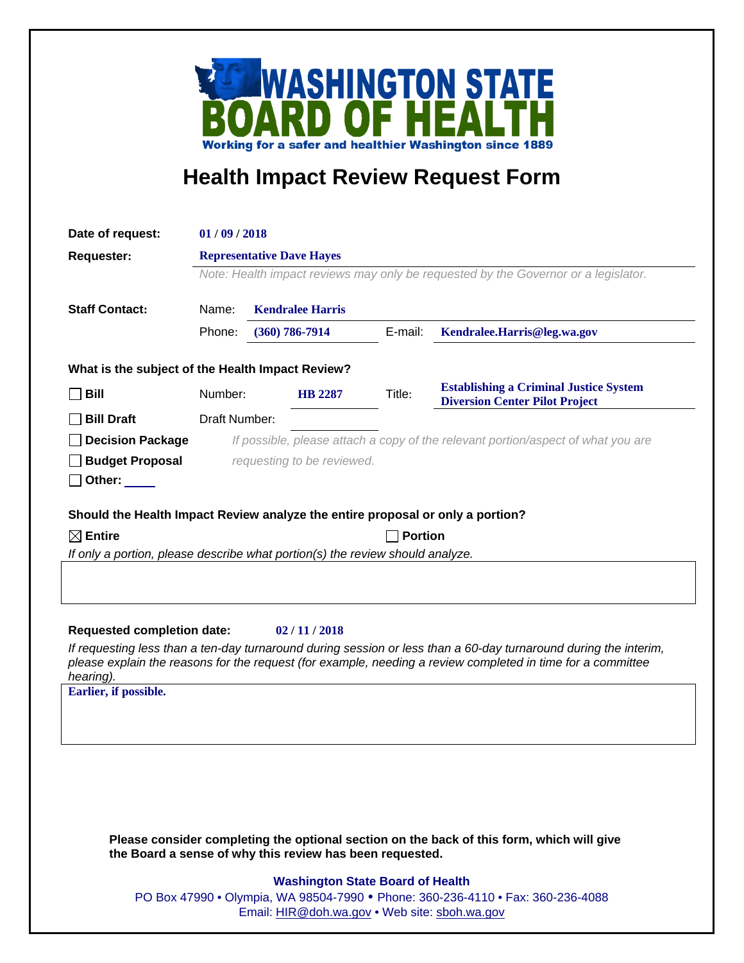

## **Health Impact Review Request Form**

| Date of request:                                                                                                                                                                                                                             | 01/09/2018                                                                         |                         |         |                                                                                           |
|----------------------------------------------------------------------------------------------------------------------------------------------------------------------------------------------------------------------------------------------|------------------------------------------------------------------------------------|-------------------------|---------|-------------------------------------------------------------------------------------------|
| <b>Requester:</b>                                                                                                                                                                                                                            | <b>Representative Dave Hayes</b>                                                   |                         |         |                                                                                           |
|                                                                                                                                                                                                                                              | Note: Health impact reviews may only be requested by the Governor or a legislator. |                         |         |                                                                                           |
| <b>Staff Contact:</b>                                                                                                                                                                                                                        | Name:                                                                              | <b>Kendralee Harris</b> |         |                                                                                           |
|                                                                                                                                                                                                                                              | Phone:                                                                             | $(360) 786 - 7914$      | E-mail: | Kendralee.Harris@leg.wa.gov                                                               |
|                                                                                                                                                                                                                                              |                                                                                    |                         |         |                                                                                           |
| What is the subject of the Health Impact Review?                                                                                                                                                                                             |                                                                                    |                         |         |                                                                                           |
| $\sqcap$ Bill                                                                                                                                                                                                                                | Number:                                                                            | <b>HB</b> 2287          | Title:  | <b>Establishing a Criminal Justice System</b><br><b>Diversion Center Pilot Project</b>    |
| <b>Bill Draft</b>                                                                                                                                                                                                                            | Draft Number:                                                                      |                         |         |                                                                                           |
| <b>Decision Package</b>                                                                                                                                                                                                                      | If possible, please attach a copy of the relevant portion/aspect of what you are   |                         |         |                                                                                           |
| <b>Budget Proposal</b>                                                                                                                                                                                                                       | requesting to be reviewed.                                                         |                         |         |                                                                                           |
| Other: $\_\_$                                                                                                                                                                                                                                |                                                                                    |                         |         |                                                                                           |
| Should the Health Impact Review analyze the entire proposal or only a portion?                                                                                                                                                               |                                                                                    |                         |         |                                                                                           |
| $\boxtimes$ Entire<br><b>Portion</b>                                                                                                                                                                                                         |                                                                                    |                         |         |                                                                                           |
| If only a portion, please describe what portion(s) the review should analyze.                                                                                                                                                                |                                                                                    |                         |         |                                                                                           |
|                                                                                                                                                                                                                                              |                                                                                    |                         |         |                                                                                           |
|                                                                                                                                                                                                                                              |                                                                                    |                         |         |                                                                                           |
| <b>Requested completion date:</b>                                                                                                                                                                                                            |                                                                                    | 02/11/2018              |         |                                                                                           |
| If requesting less than a ten-day turnaround during session or less than a 60-day turnaround during the interim,<br>please explain the reasons for the request (for example, needing a review completed in time for a committee<br>hearing). |                                                                                    |                         |         |                                                                                           |
| Earlier, if possible.                                                                                                                                                                                                                        |                                                                                    |                         |         |                                                                                           |
|                                                                                                                                                                                                                                              |                                                                                    |                         |         |                                                                                           |
|                                                                                                                                                                                                                                              |                                                                                    |                         |         |                                                                                           |
|                                                                                                                                                                                                                                              |                                                                                    |                         |         |                                                                                           |
|                                                                                                                                                                                                                                              |                                                                                    |                         |         |                                                                                           |
|                                                                                                                                                                                                                                              |                                                                                    |                         |         |                                                                                           |
|                                                                                                                                                                                                                                              |                                                                                    |                         |         |                                                                                           |
|                                                                                                                                                                                                                                              |                                                                                    |                         |         | Please consider completing the optional section on the back of this form, which will give |

**Washington State Board of Health**

**the Board a sense of why this review has been requested.**

PO Box 47990 • Olympia, WA 98504-7990 • Phone: 360-236-4110 • Fax: 360-236-4088 Email: [HIR@doh.wa.gov](mailto:HIR@doh.wa.gov) • Web site: [sboh.wa.gov](http://www.sboh.wa.gov/hdcouncil/)